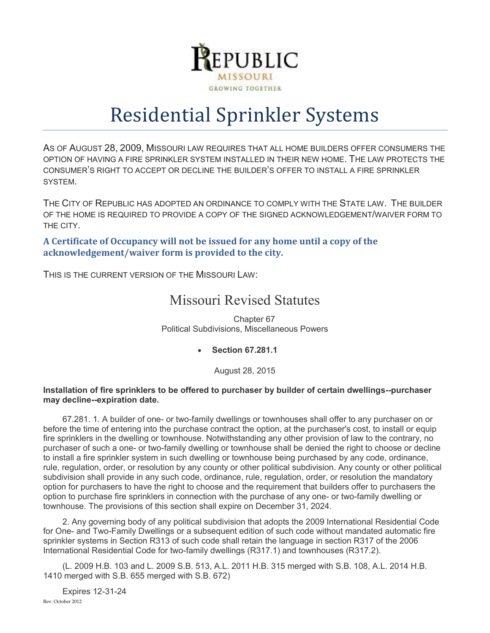

## Residential Sprinkler Systems

AS OF AUGUST 28, 2009, MISSOURI LAW REQUIRES THAT ALL HOME BUILDERS OFFER CONSUMERS THE OPTION OF HAVING A FIRE SPRINKLER SYSTEM INSTALLED IN THEIR NEW HOME. THE LAW PROTECTS THE CONSUMER'S RIGHT TO ACCEPT OR DECLINE THE BUILDER'S OFFER TO INSTALL A FIRE SPRINKLER SYSTEM.

THE CITY OF REPUBLIC HAS ADOPTED AN ORDINANCE TO COMPLY WITH THE STATE LAW. THE BUILDER OF THE HOME IS REQUIRED TO PROVIDE A COPY OF THE SIGNED ACKNOWLEDGEMENT/WAIVER FORM TO THE CITY.

**A Certificate of Occupancy will not be issued for any home until a copy of the acknowledgement/waiver form is provided to the city.**

THIS IS THE CURRENT VERSION OF THE MISSOURI LAW:

### Missouri Revised Statutes

Chapter 67 Political Subdivisions, Miscellaneous Powers

**Section 67.281.1**

August 28, 2015

#### **Installation of fire sprinklers to be offered to purchaser by builder of certain dwellings--purchaser may decline--expiration date.**

67.281. 1. A builder of one- or two-family dwellings or townhouses shall offer to any purchaser on or before the time of entering into the purchase contract the option, at the purchaser's cost, to install or equip fire sprinklers in the dwelling or townhouse. Notwithstanding any other provision of law to the contrary, no purchaser of such a one- or two-family dwelling or townhouse shall be denied the right to choose or decline to install a fire sprinkler system in such dwelling or townhouse being purchased by any code, ordinance, rule, regulation, order, or resolution by any county or other political subdivision. Any county or other political subdivision shall provide in any such code, ordinance, rule, regulation, order, or resolution the mandatory option for purchasers to have the right to choose and the requirement that builders offer to purchasers the option to purchase fire sprinklers in connection with the purchase of any one- or two-family dwelling or townhouse. The provisions of this section shall expire on December 31, 2024.

2. Any governing body of any political subdivision that adopts the 2009 International Residential Code for One- and Two-Family Dwellings or a subsequent edition of such code without mandated automatic fire sprinkler systems in Section R313 of such code shall retain the language in section R317 of the 2006 International Residential Code for two-family dwellings (R317.1) and townhouses (R317.2).

(L. 2009 H.B. 103 and L. 2009 S.B. 513, A.L. 2011 H.B. 315 merged with S.B. 108, A.L. 2014 H.B. 1410 merged with S.B. 655 merged with S.B. 672)

Rev: October 2012 Expires 12-31-24